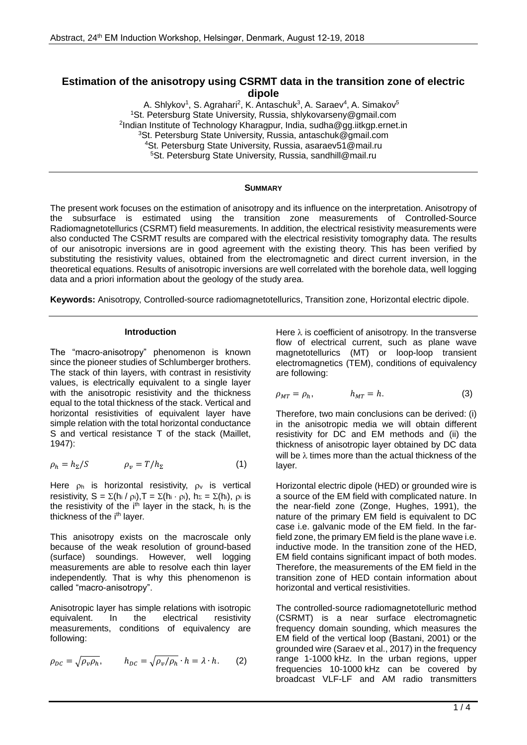# **Estimation of the anisotropy using CSRMT data in the transition zone of electric dipole**

A. Shlykov<sup>1</sup>, S. Agrahari<sup>2</sup>, K. Antaschuk<sup>3</sup>, A. Saraev<sup>4</sup>, A. Simakov<sup>5</sup> <sup>1</sup>St. Petersburg State University, Russia, shlykovarseny@gmail.com <sup>2</sup>Indian Institute of Technology Kharagpur, India, sudha@gg.iitkgp.ernet.in <sup>3</sup>St. Petersburg State University, Russia, antaschuk@gmail.com <sup>4</sup>St. Petersburg State University, Russia, asaraev51@mail.ru <sup>5</sup>St. Petersburg State University, Russia, [sandhill@mail.ru](mailto:asaraev51@mail.ru)

# **SUMMARY**

The present work focuses on the estimation of anisotropy and its influence on the interpretation. Anisotropy of the subsurface is estimated using the transition zone measurements of Controlled-Source Radiomagnetotellurics (CSRMT) field measurements. In addition, the electrical resistivity measurements were also conducted The CSRMT results are compared with the electrical resistivity tomography data. The results of our anisotropic inversions are in good agreement with the existing theory. This has been verified by substituting the resistivity values, obtained from the electromagnetic and direct current inversion, in the theoretical equations. Results of anisotropic inversions are well correlated with the borehole data, well logging data and a priori information about the geology of the study area.

**Keywords:** Anisotropy, Controlled-source radiomagnetotellurics, Transition zone, Horizontal electric dipole.

# **Introduction**

The "macro-anisotropy" phenomenon is known since the pioneer studies of Schlumberger brothers. The stack of thin layers, with contrast in resistivity values, is electrically equivalent to a single layer with the anisotropic resistivity and the thickness equal to the total thickness of the stack. Vertical and horizontal resistivities of equivalent layer have simple relation with the total horizontal conductance S and vertical resistance T of the stack (Maillet, 1947):

$$
\rho_h = h_{\Sigma}/S \qquad \qquad \rho_v = T/h_{\Sigma} \qquad \qquad (1)
$$

Here  $\rho_h$  is horizontal resistivity,  $\rho_v$  is vertical resistivity,  $S = \sum (h_i / \rho_i)$ ,  $T = \sum (h_i \cdot \rho_i)$ ,  $h_{\Sigma} = \sum (h_i)$ ,  $\rho_i$  is the resistivity of the  $i<sup>th</sup>$  layer in the stack,  $h_i$  is the thickness of the i<sup>th</sup> layer.

This anisotropy exists on the macroscale only because of the weak resolution of ground-based (surface) soundings. However, well logging measurements are able to resolve each thin layer independently. That is why this phenomenon is called "macro-anisotropy".

Anisotropic layer has simple relations with isotropic equivalent. In the electrical resistivity measurements, conditions of equivalency are following:

$$
\rho_{DC} = \sqrt{\rho_v \rho_h}, \qquad h_{DC} = \sqrt{\rho_v / \rho_h} \cdot h = \lambda \cdot h. \tag{2}
$$

Here  $\lambda$  is coefficient of anisotropy. In the transverse flow of electrical current, such as plane wave magnetotellurics (MT) or loop-loop transient electromagnetics (TEM), conditions of equivalency are following:

$$
\rho_{MT} = \rho_h, \qquad h_{MT} = h. \tag{3}
$$

Therefore, two main conclusions can be derived: (i) in the anisotropic media we will obtain different resistivity for DC and EM methods and (ii) the thickness of anisotropic layer obtained by DC data will be  $\lambda$  times more than the actual thickness of the layer.

Horizontal electric dipole (HED) or grounded wire is a source of the EM field with complicated nature. In the near-field zone (Zonge, Hughes, 1991), the nature of the primary EM field is equivalent to DC case i.e. galvanic mode of the EM field. In the farfield zone, the primary EM field is the plane wave i.e. inductive mode. In the transition zone of the HED, EM field contains significant impact of both modes. Therefore, the measurements of the EM field in the transition zone of HED contain information about horizontal and vertical resistivities.

The controlled-source radiomagnetotelluric method (CSRMT) is a near surface electromagnetic frequency domain sounding, which measures the EM field of the vertical loop (Bastani, 2001) or the grounded wire (Saraev et al., 2017) in the frequency range 1-1000 kHz. In the urban regions, upper frequencies 10-1000 kHz can be covered by broadcast VLF-LF and AM radio transmitters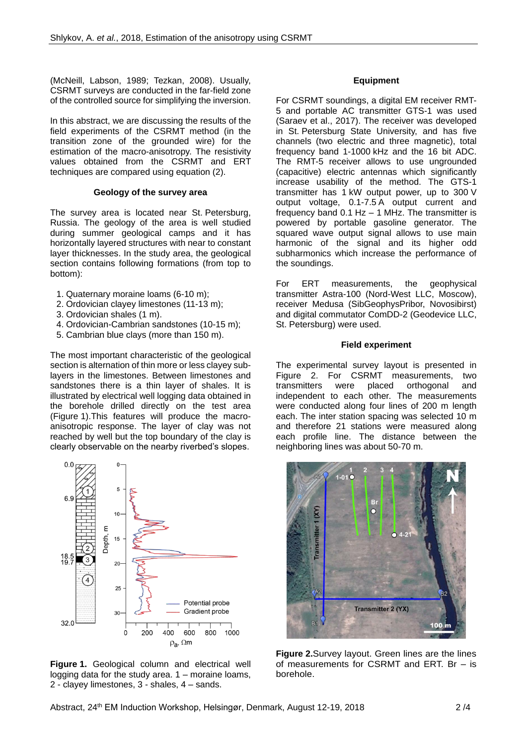(McNeill, Labson, 1989; Tezkan, 2008). Usually, CSRMT surveys are conducted in the far-field zone of the controlled source for simplifying the inversion.

In this abstract, we are discussing the results of the field experiments of the CSRMT method (in the transition zone of the grounded wire) for the estimation of the macro-anisotropy. The resistivity values obtained from the CSRMT and ERT techniques are compared using equation (2).

## **Geology of the survey area**

The survey area is located near St. Petersburg, Russia. The geology of the area is well studied during summer geological camps and it has horizontally layered structures with near to constant layer thicknesses. In the study area, the geological section contains following formations (from top to bottom):

- 1. Quaternary moraine loams (6-10 m);
- 2. Ordovician clayey limestones (11-13 m);
- 3. Ordovician shales (1 m).
- 4. Ordovician-Cambrian sandstones (10-15 m);
- 5. Cambrian blue clays (more than 150 m).

The most important characteristic of the geological section is alternation of thin more or less clayey sublayers in the limestones. Between limestones and sandstones there is a thin layer of shales. It is illustrated by electrical well logging data obtained in the borehole drilled directly on the test area (Figure 1).This features will produce the macroanisotropic response. The layer of clay was not reached by well but the top boundary of the clay is clearly observable on the nearby riverbed's slopes.



**Figure 1.** Geological column and electrical well logging data for the study area. 1 – moraine loams, 2 - clayey limestones, 3 - shales, 4 – sands.

### **Equipment**

For CSRMT soundings, a digital EM receiver RMT-5 and portable AC transmitter GTS-1 was used (Saraev et al., 2017). The receiver was developed in St. Petersburg State University, and has five channels (two electric and three magnetic), total frequency band 1-1000 kHz and the 16 bit ADC. The RMT-5 receiver allows to use ungrounded (capacitive) electric antennas which significantly increase usability of the method. The GTS-1 transmitter has 1 kW output power, up to 300 V output voltage, 0.1-7.5 A output current and frequency band  $0.1$  Hz  $-$  1 MHz. The transmitter is powered by portable gasoline generator. The squared wave output signal allows to use main harmonic of the signal and its higher odd subharmonics which increase the performance of the soundings.

For ERT measurements, the geophysical transmitter Astra-100 (Nord-West LLC, Moscow), receiver Medusa (SibGeophysPribor, Novosibirst) and digital commutator ComDD-2 (Geodevice LLC, St. Petersburg) were used.

### **Field experiment**

The experimental survey layout is presented in Figure 2. For CSRMT measurements, two transmitters were placed orthogonal and independent to each other. The measurements were conducted along four lines of 200 m length each. The inter station spacing was selected 10 m and therefore 21 stations were measured along each profile line. The distance between the neighboring lines was about 50-70 m.



**Figure 2.**Survey layout. Green lines are the lines of measurements for CSRMT and ERT. Br – is borehole.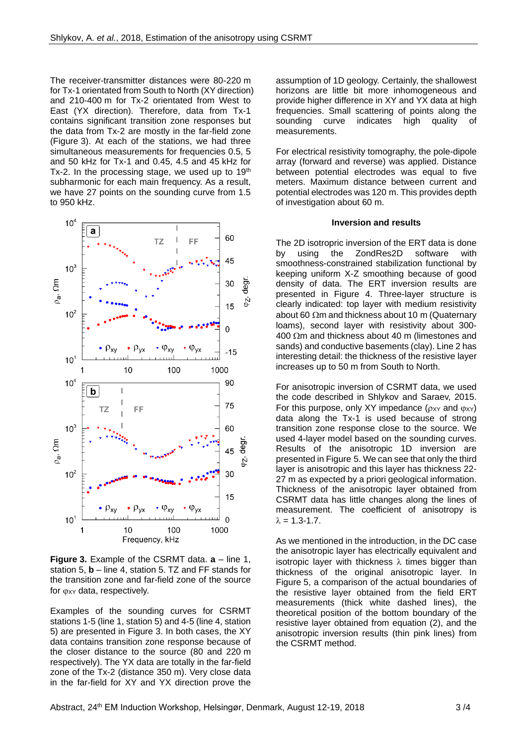The receiver-transmitter distances were 80-220 m for Tx-1 orientated from South to North (XY direction) and 210-400 m for Tx-2 orientated from West to East (YX direction). Therefore, data from Tx-1 contains significant transition zone responses but the data from Tx-2 are mostly in the far-field zone (Figure 3). At each of the stations, we had three simultaneous measurements for frequencies 0.5, 5 and 50 kHz for Tx-1 and 0.45, 4.5 and 45 kHz for Tx-2. In the processing stage, we used up to  $19<sup>th</sup>$ subharmonic for each main frequency. As a result, we have 27 points on the sounding curve from 1.5 to 950 kHz.



**Figure 3.** Example of the CSRMT data. **a** – line 1, station 5, **b** – line 4, station 5. TZ and FF stands for the transition zone and far-field zone of the source for  $\varphi_{XY}$  data, respectively.

Examples of the sounding curves for CSRMT stations 1-5 (line 1, station 5) and 4-5 (line 4, station 5) are presented in Figure 3. In both cases, the XY data contains transition zone response because of the closer distance to the source (80 and 220 m respectively). The YX data are totally in the far-field zone of the Tx-2 (distance 350 m). Very close data in the far-field for XY and YX direction prove the assumption of 1D geology. Certainly, the shallowest horizons are little bit more inhomogeneous and provide higher difference in XY and YX data at high frequencies. Small scattering of points along the sounding curve indicates high quality of measurements.

For electrical resistivity tomography, the pole-dipole array (forward and reverse) was applied. Distance between potential electrodes was equal to five meters. Maximum distance between current and potential electrodes was 120 m. This provides depth of investigation about 60 m.

#### **Inversion and results**

The 2D isotropric inversion of the ERT data is done by using the ZondRes2D software with smoothness-constrained stabilization functional by keeping uniform X-Z smoothing because of good density of data. The ERT inversion results are presented in Figure 4. Three-layer structure is clearly indicated: top layer with medium resistivity about 60  $\Omega$ m and thickness about 10 m (Quaternary loams), second layer with resistivity about 300-  $400 \Omega$ m and thickness about 40 m (limestones and sands) and conductive basements (clay). Line 2 has interesting detail: the thickness of the resistive layer increases up to 50 m from South to North.

For anisotropic inversion of CSRMT data, we used the code described in Shlykov and Saraev, 2015. For this purpose, only XY impedance  $(p_{XY}$  and  $(p_{XY})$ data along the Tx-1 is used because of strong transition zone response close to the source. We used 4-layer model based on the sounding curves. Results of the anisotropic 1D inversion are presented in Figure 5. We can see that only the third layer is anisotropic and this layer has thickness 22- 27 m as expected by a priori geological information. Thickness of the anisotropic layer obtained from CSRMT data has little changes along the lines of measurement. The coefficient of anisotropy is  $\lambda = 1.3 - 1.7$ .

As we mentioned in the introduction, in the DC case the anisotropic layer has electrically equivalent and isotropic layer with thickness  $\lambda$  times bigger than thickness of the original anisotropic layer. In Figure 5, a comparison of the actual boundaries of the resistive layer obtained from the field ERT measurements (thick white dashed lines), the theoretical position of the bottom boundary of the resistive layer obtained from equation (2), and the anisotropic inversion results (thin pink lines) from the CSRMT method.